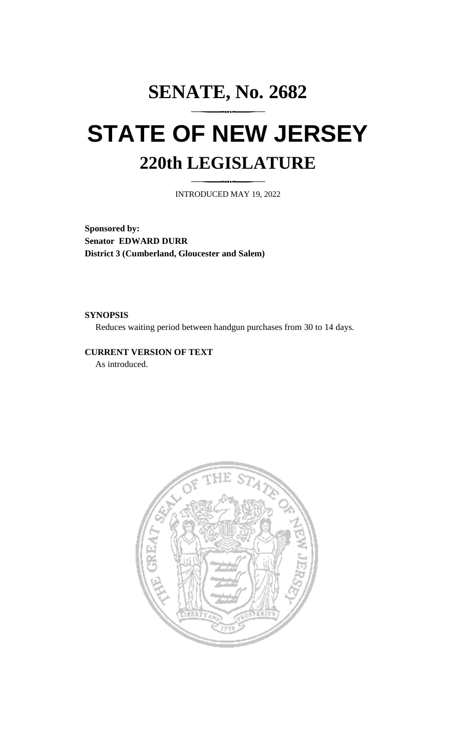# **SENATE, No. 2682 STATE OF NEW JERSEY 220th LEGISLATURE**

INTRODUCED MAY 19, 2022

**Sponsored by: Senator EDWARD DURR District 3 (Cumberland, Gloucester and Salem)**

### **SYNOPSIS**

Reduces waiting period between handgun purchases from 30 to 14 days.

### **CURRENT VERSION OF TEXT**  As introduced.

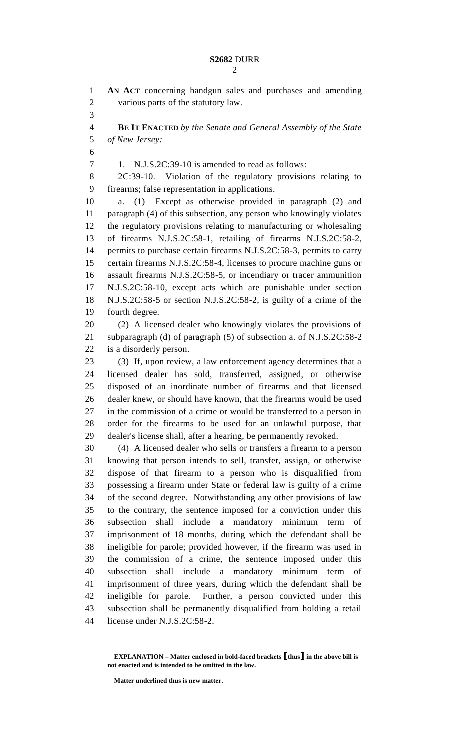**AN ACT** concerning handgun sales and purchases and amending various parts of the statutory law.

 **BE IT ENACTED** *by the Senate and General Assembly of the State of New Jersey:*

7 1. N.J.S.2C:39-10 is amended to read as follows:

 2C:39-10. Violation of the regulatory provisions relating to firearms; false representation in applications.

 a. (1) Except as otherwise provided in paragraph (2) and paragraph (4) of this subsection, any person who knowingly violates the regulatory provisions relating to manufacturing or wholesaling of firearms N.J.S.2C:58-1, retailing of firearms N.J.S.2C:58-2, 14 permits to purchase certain firearms N.J.S.2C:58-3, permits to carry certain firearms N.J.S.2C:58-4, licenses to procure machine guns or assault firearms N.J.S.2C:58-5, or incendiary or tracer ammunition N.J.S.2C:58-10, except acts which are punishable under section N.J.S.2C:58-5 or section N.J.S.2C:58-2, is guilty of a crime of the fourth degree.

 (2) A licensed dealer who knowingly violates the provisions of subparagraph (d) of paragraph (5) of subsection a. of N.J.S.2C:58-2 is a disorderly person.

 (3) If, upon review, a law enforcement agency determines that a licensed dealer has sold, transferred, assigned, or otherwise disposed of an inordinate number of firearms and that licensed dealer knew, or should have known, that the firearms would be used in the commission of a crime or would be transferred to a person in order for the firearms to be used for an unlawful purpose, that dealer's license shall, after a hearing, be permanently revoked.

 (4) A licensed dealer who sells or transfers a firearm to a person knowing that person intends to sell, transfer, assign, or otherwise dispose of that firearm to a person who is disqualified from possessing a firearm under State or federal law is guilty of a crime of the second degree. Notwithstanding any other provisions of law to the contrary, the sentence imposed for a conviction under this subsection shall include a mandatory minimum term of imprisonment of 18 months, during which the defendant shall be ineligible for parole; provided however, if the firearm was used in the commission of a crime, the sentence imposed under this subsection shall include a mandatory minimum term of imprisonment of three years, during which the defendant shall be ineligible for parole. Further, a person convicted under this subsection shall be permanently disqualified from holding a retail license under N.J.S.2C:58-2.

**EXPLANATION – Matter enclosed in bold-faced brackets [thus] in the above bill is not enacted and is intended to be omitted in the law.**

**Matter underlined thus is new matter.**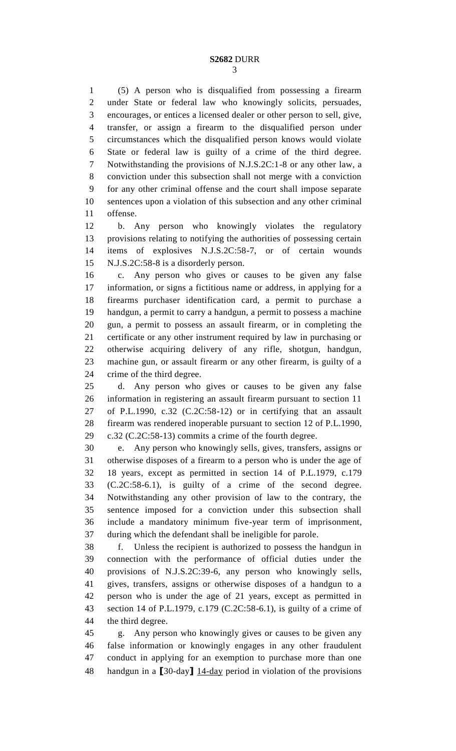(5) A person who is disqualified from possessing a firearm under State or federal law who knowingly solicits, persuades, encourages, or entices a licensed dealer or other person to sell, give, transfer, or assign a firearm to the disqualified person under circumstances which the disqualified person knows would violate State or federal law is guilty of a crime of the third degree. Notwithstanding the provisions of N.J.S.2C:1-8 or any other law, a conviction under this subsection shall not merge with a conviction for any other criminal offense and the court shall impose separate sentences upon a violation of this subsection and any other criminal offense.

 b. Any person who knowingly violates the regulatory provisions relating to notifying the authorities of possessing certain items of explosives N.J.S.2C:58-7, or of certain wounds N.J.S.2C:58-8 is a disorderly person.

 c. Any person who gives or causes to be given any false information, or signs a fictitious name or address, in applying for a firearms purchaser identification card, a permit to purchase a handgun, a permit to carry a handgun, a permit to possess a machine gun, a permit to possess an assault firearm, or in completing the certificate or any other instrument required by law in purchasing or otherwise acquiring delivery of any rifle, shotgun, handgun, machine gun, or assault firearm or any other firearm, is guilty of a crime of the third degree.

 d. Any person who gives or causes to be given any false information in registering an assault firearm pursuant to section 11 of P.L.1990, c.32 (C.2C:58-12) or in certifying that an assault firearm was rendered inoperable pursuant to section 12 of P.L.1990, c.32 (C.2C:58-13) commits a crime of the fourth degree.

 e. Any person who knowingly sells, gives, transfers, assigns or otherwise disposes of a firearm to a person who is under the age of 18 years, except as permitted in section 14 of P.L.1979, c.179 (C.2C:58-6.1), is guilty of a crime of the second degree. Notwithstanding any other provision of law to the contrary, the sentence imposed for a conviction under this subsection shall include a mandatory minimum five-year term of imprisonment, during which the defendant shall be ineligible for parole.

 f. Unless the recipient is authorized to possess the handgun in connection with the performance of official duties under the provisions of N.J.S.2C:39-6, any person who knowingly sells, gives, transfers, assigns or otherwise disposes of a handgun to a person who is under the age of 21 years, except as permitted in section 14 of P.L.1979, c.179 (C.2C:58-6.1), is guilty of a crime of the third degree.

 g. Any person who knowingly gives or causes to be given any false information or knowingly engages in any other fraudulent conduct in applying for an exemption to purchase more than one handgun in a **[**30-day**]** 14-day period in violation of the provisions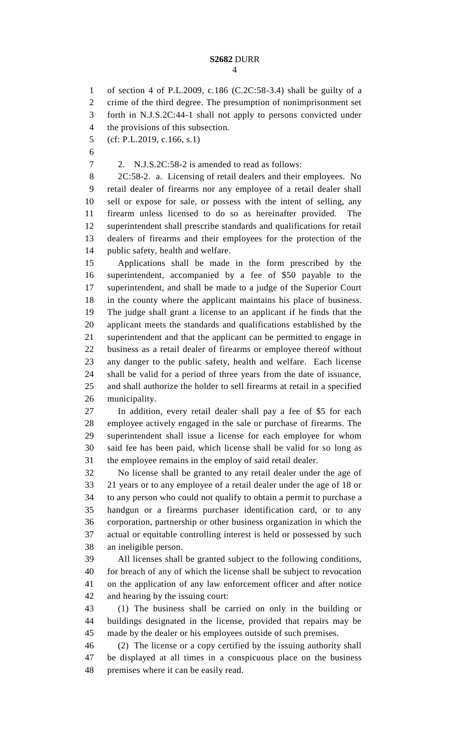of section 4 of P.L.2009, c.186 (C.2C:58-3.4) shall be guilty of a crime of the third degree. The presumption of nonimprisonment set forth in N.J.S.2C:44-1 shall not apply to persons convicted under the provisions of this subsection.

- (cf: P.L.2019, c.166, s.1)
- 

2. N.J.S.2C:58-2 is amended to read as follows:

 2C:58-2. a. Licensing of retail dealers and their employees. No retail dealer of firearms nor any employee of a retail dealer shall sell or expose for sale, or possess with the intent of selling, any firearm unless licensed to do so as hereinafter provided. The superintendent shall prescribe standards and qualifications for retail dealers of firearms and their employees for the protection of the public safety, health and welfare.

 Applications shall be made in the form prescribed by the superintendent, accompanied by a fee of \$50 payable to the superintendent, and shall be made to a judge of the Superior Court in the county where the applicant maintains his place of business. The judge shall grant a license to an applicant if he finds that the applicant meets the standards and qualifications established by the superintendent and that the applicant can be permitted to engage in business as a retail dealer of firearms or employee thereof without any danger to the public safety, health and welfare. Each license shall be valid for a period of three years from the date of issuance, and shall authorize the holder to sell firearms at retail in a specified municipality.

 In addition, every retail dealer shall pay a fee of \$5 for each employee actively engaged in the sale or purchase of firearms. The superintendent shall issue a license for each employee for whom said fee has been paid, which license shall be valid for so long as the employee remains in the employ of said retail dealer.

 No license shall be granted to any retail dealer under the age of 21 years or to any employee of a retail dealer under the age of 18 or to any person who could not qualify to obtain a permit to purchase a handgun or a firearms purchaser identification card, or to any corporation, partnership or other business organization in which the actual or equitable controlling interest is held or possessed by such an ineligible person.

 All licenses shall be granted subject to the following conditions, for breach of any of which the license shall be subject to revocation on the application of any law enforcement officer and after notice and hearing by the issuing court:

 (1) The business shall be carried on only in the building or buildings designated in the license, provided that repairs may be made by the dealer or his employees outside of such premises.

 (2) The license or a copy certified by the issuing authority shall be displayed at all times in a conspicuous place on the business premises where it can be easily read.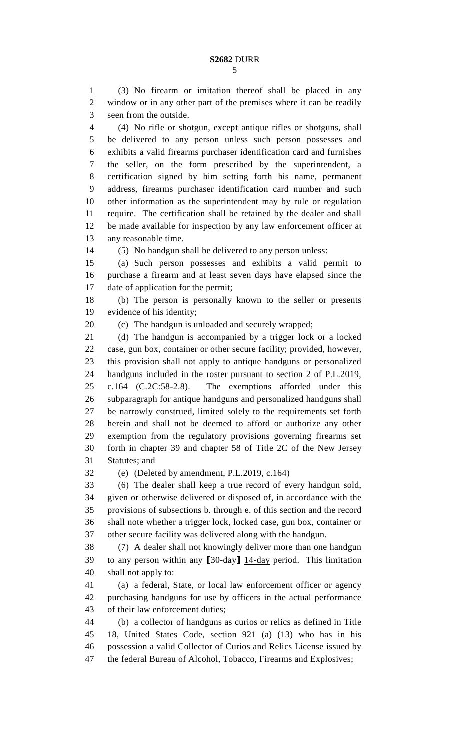(3) No firearm or imitation thereof shall be placed in any window or in any other part of the premises where it can be readily seen from the outside.

 (4) No rifle or shotgun, except antique rifles or shotguns, shall be delivered to any person unless such person possesses and exhibits a valid firearms purchaser identification card and furnishes the seller, on the form prescribed by the superintendent, a certification signed by him setting forth his name, permanent address, firearms purchaser identification card number and such other information as the superintendent may by rule or regulation require. The certification shall be retained by the dealer and shall be made available for inspection by any law enforcement officer at any reasonable time.

(5) No handgun shall be delivered to any person unless:

 (a) Such person possesses and exhibits a valid permit to purchase a firearm and at least seven days have elapsed since the date of application for the permit;

 (b) The person is personally known to the seller or presents evidence of his identity;

(c) The handgun is unloaded and securely wrapped;

 (d) The handgun is accompanied by a trigger lock or a locked case, gun box, container or other secure facility; provided, however, this provision shall not apply to antique handguns or personalized handguns included in the roster pursuant to section 2 of P.L.2019, c.164 (C.2C:58-2.8). The exemptions afforded under this subparagraph for antique handguns and personalized handguns shall be narrowly construed, limited solely to the requirements set forth herein and shall not be deemed to afford or authorize any other exemption from the regulatory provisions governing firearms set forth in chapter 39 and chapter 58 of Title 2C of the New Jersey Statutes; and

(e) (Deleted by amendment, P.L.2019, c.164)

 (6) The dealer shall keep a true record of every handgun sold, given or otherwise delivered or disposed of, in accordance with the provisions of subsections b. through e. of this section and the record shall note whether a trigger lock, locked case, gun box, container or other secure facility was delivered along with the handgun.

 (7) A dealer shall not knowingly deliver more than one handgun to any person within any **[**30-day**]** 14-day period. This limitation shall not apply to:

 (a) a federal, State, or local law enforcement officer or agency purchasing handguns for use by officers in the actual performance of their law enforcement duties;

 (b) a collector of handguns as curios or relics as defined in Title 18, United States Code, section 921 (a) (13) who has in his possession a valid Collector of Curios and Relics License issued by the federal Bureau of Alcohol, Tobacco, Firearms and Explosives;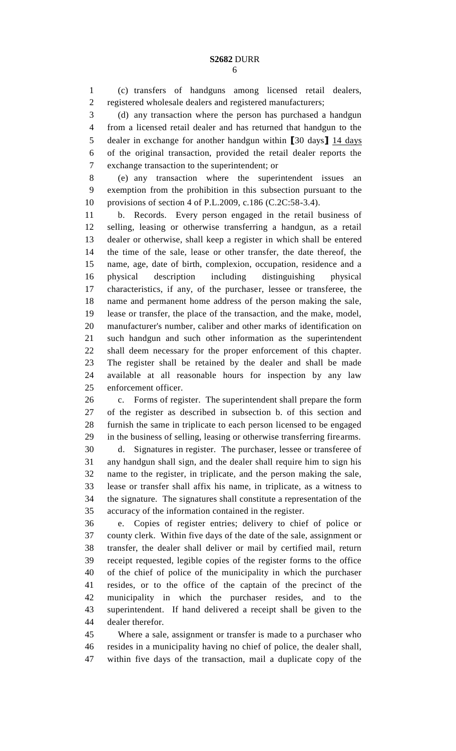(c) transfers of handguns among licensed retail dealers, registered wholesale dealers and registered manufacturers;

 (d) any transaction where the person has purchased a handgun from a licensed retail dealer and has returned that handgun to the dealer in exchange for another handgun within **[**30 days**]** 14 days of the original transaction, provided the retail dealer reports the exchange transaction to the superintendent; or

 (e) any transaction where the superintendent issues an exemption from the prohibition in this subsection pursuant to the provisions of section 4 of P.L.2009, c.186 (C.2C:58-3.4).

 b. Records. Every person engaged in the retail business of selling, leasing or otherwise transferring a handgun, as a retail dealer or otherwise, shall keep a register in which shall be entered the time of the sale, lease or other transfer, the date thereof, the name, age, date of birth, complexion, occupation, residence and a physical description including distinguishing physical characteristics, if any, of the purchaser, lessee or transferee, the name and permanent home address of the person making the sale, lease or transfer, the place of the transaction, and the make, model, manufacturer's number, caliber and other marks of identification on such handgun and such other information as the superintendent shall deem necessary for the proper enforcement of this chapter. The register shall be retained by the dealer and shall be made available at all reasonable hours for inspection by any law enforcement officer.

 c. Forms of register. The superintendent shall prepare the form of the register as described in subsection b. of this section and furnish the same in triplicate to each person licensed to be engaged in the business of selling, leasing or otherwise transferring firearms.

 d. Signatures in register. The purchaser, lessee or transferee of any handgun shall sign, and the dealer shall require him to sign his name to the register, in triplicate, and the person making the sale, lease or transfer shall affix his name, in triplicate, as a witness to the signature. The signatures shall constitute a representation of the accuracy of the information contained in the register.

 e. Copies of register entries; delivery to chief of police or county clerk. Within five days of the date of the sale, assignment or transfer, the dealer shall deliver or mail by certified mail, return receipt requested, legible copies of the register forms to the office of the chief of police of the municipality in which the purchaser resides, or to the office of the captain of the precinct of the municipality in which the purchaser resides, and to the superintendent. If hand delivered a receipt shall be given to the dealer therefor.

 Where a sale, assignment or transfer is made to a purchaser who resides in a municipality having no chief of police, the dealer shall, within five days of the transaction, mail a duplicate copy of the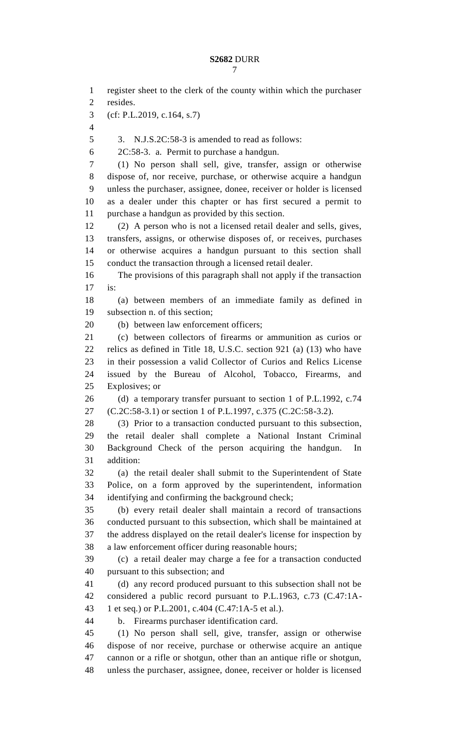register sheet to the clerk of the county within which the purchaser resides. (cf: P.L.2019, c.164, s.7) 3. N.J.S.2C:58-3 is amended to read as follows: 2C:58-3. a. Permit to purchase a handgun. (1) No person shall sell, give, transfer, assign or otherwise dispose of, nor receive, purchase, or otherwise acquire a handgun unless the purchaser, assignee, donee, receiver or holder is licensed as a dealer under this chapter or has first secured a permit to purchase a handgun as provided by this section. (2) A person who is not a licensed retail dealer and sells, gives, transfers, assigns, or otherwise disposes of, or receives, purchases or otherwise acquires a handgun pursuant to this section shall conduct the transaction through a licensed retail dealer. The provisions of this paragraph shall not apply if the transaction is: (a) between members of an immediate family as defined in subsection n. of this section; (b) between law enforcement officers; (c) between collectors of firearms or ammunition as curios or relics as defined in Title 18, U.S.C. section 921 (a) (13) who have in their possession a valid Collector of Curios and Relics License issued by the Bureau of Alcohol, Tobacco, Firearms, and Explosives; or (d) a temporary transfer pursuant to section 1 of P.L.1992, c.74 (C.2C:58-3.1) or section 1 of P.L.1997, c.375 (C.2C:58-3.2). (3) Prior to a transaction conducted pursuant to this subsection, the retail dealer shall complete a National Instant Criminal Background Check of the person acquiring the handgun. In addition: (a) the retail dealer shall submit to the Superintendent of State Police, on a form approved by the superintendent, information identifying and confirming the background check; (b) every retail dealer shall maintain a record of transactions conducted pursuant to this subsection, which shall be maintained at the address displayed on the retail dealer's license for inspection by a law enforcement officer during reasonable hours; (c) a retail dealer may charge a fee for a transaction conducted pursuant to this subsection; and (d) any record produced pursuant to this subsection shall not be considered a public record pursuant to P.L.1963, c.73 (C.47:1A- 1 et seq.) or P.L.2001, c.404 (C.47:1A-5 et al.). b. Firearms purchaser identification card. (1) No person shall sell, give, transfer, assign or otherwise dispose of nor receive, purchase or otherwise acquire an antique cannon or a rifle or shotgun, other than an antique rifle or shotgun, unless the purchaser, assignee, donee, receiver or holder is licensed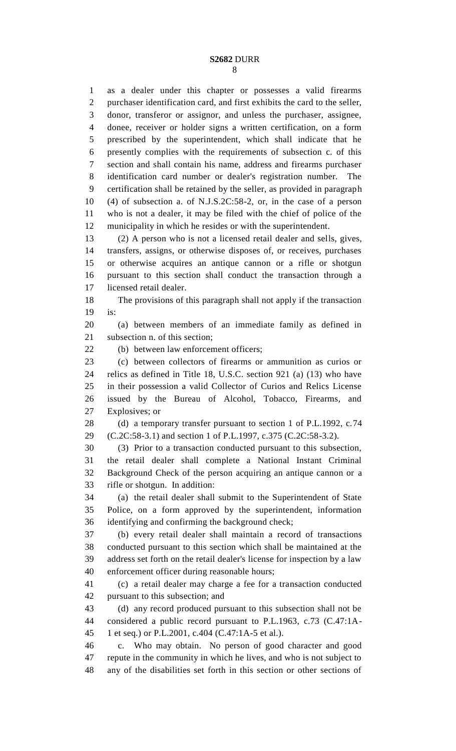as a dealer under this chapter or possesses a valid firearms purchaser identification card, and first exhibits the card to the seller, donor, transferor or assignor, and unless the purchaser, assignee, donee, receiver or holder signs a written certification, on a form prescribed by the superintendent, which shall indicate that he presently complies with the requirements of subsection c. of this section and shall contain his name, address and firearms purchaser identification card number or dealer's registration number. The certification shall be retained by the seller, as provided in paragraph (4) of subsection a. of N.J.S.2C:58-2, or, in the case of a person who is not a dealer, it may be filed with the chief of police of the municipality in which he resides or with the superintendent.

 (2) A person who is not a licensed retail dealer and sells, gives, transfers, assigns, or otherwise disposes of, or receives, purchases or otherwise acquires an antique cannon or a rifle or shotgun pursuant to this section shall conduct the transaction through a licensed retail dealer.

 The provisions of this paragraph shall not apply if the transaction is:

 (a) between members of an immediate family as defined in subsection n. of this section;

(b) between law enforcement officers;

 (c) between collectors of firearms or ammunition as curios or relics as defined in Title 18, U.S.C. section 921 (a) (13) who have in their possession a valid Collector of Curios and Relics License issued by the Bureau of Alcohol, Tobacco, Firearms, and Explosives; or

28 (d) a temporary transfer pursuant to section 1 of P.L.1992, c.74 (C.2C:58-3.1) and section 1 of P.L.1997, c.375 (C.2C:58-3.2).

 (3) Prior to a transaction conducted pursuant to this subsection, the retail dealer shall complete a National Instant Criminal Background Check of the person acquiring an antique cannon or a rifle or shotgun. In addition:

 (a) the retail dealer shall submit to the Superintendent of State Police, on a form approved by the superintendent, information identifying and confirming the background check;

 (b) every retail dealer shall maintain a record of transactions conducted pursuant to this section which shall be maintained at the address set forth on the retail dealer's license for inspection by a law enforcement officer during reasonable hours;

 (c) a retail dealer may charge a fee for a transaction conducted pursuant to this subsection; and

 (d) any record produced pursuant to this subsection shall not be considered a public record pursuant to P.L.1963, c.73 (C.47:1A-1 et seq.) or P.L.2001, c.404 (C.47:1A-5 et al.).

 c. Who may obtain. No person of good character and good repute in the community in which he lives, and who is not subject to any of the disabilities set forth in this section or other sections of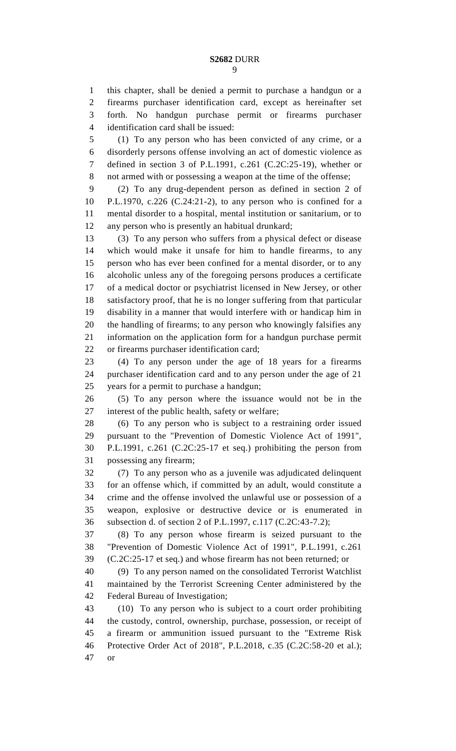this chapter, shall be denied a permit to purchase a handgun or a firearms purchaser identification card, except as hereinafter set forth. No handgun purchase permit or firearms purchaser identification card shall be issued:

 (1) To any person who has been convicted of any crime, or a disorderly persons offense involving an act of domestic violence as defined in section 3 of P.L.1991, c.261 (C.2C:25-19), whether or not armed with or possessing a weapon at the time of the offense;

 (2) To any drug-dependent person as defined in section 2 of P.L.1970, c.226 (C.24:21-2), to any person who is confined for a mental disorder to a hospital, mental institution or sanitarium, or to any person who is presently an habitual drunkard;

 (3) To any person who suffers from a physical defect or disease which would make it unsafe for him to handle firearms, to any person who has ever been confined for a mental disorder, or to any alcoholic unless any of the foregoing persons produces a certificate of a medical doctor or psychiatrist licensed in New Jersey, or other satisfactory proof, that he is no longer suffering from that particular disability in a manner that would interfere with or handicap him in the handling of firearms; to any person who knowingly falsifies any information on the application form for a handgun purchase permit or firearms purchaser identification card;

 (4) To any person under the age of 18 years for a firearms purchaser identification card and to any person under the age of 21 years for a permit to purchase a handgun;

 (5) To any person where the issuance would not be in the interest of the public health, safety or welfare;

 (6) To any person who is subject to a restraining order issued pursuant to the "Prevention of Domestic Violence Act of 1991", P.L.1991, c.261 (C.2C:25-17 et seq.) prohibiting the person from possessing any firearm;

 (7) To any person who as a juvenile was adjudicated delinquent for an offense which, if committed by an adult, would constitute a crime and the offense involved the unlawful use or possession of a weapon, explosive or destructive device or is enumerated in subsection d. of section 2 of P.L.1997, c.117 (C.2C:43-7.2);

 (8) To any person whose firearm is seized pursuant to the "Prevention of Domestic Violence Act of 1991", P.L.1991, c.261 (C.2C:25-17 et seq.) and whose firearm has not been returned; or

 (9) To any person named on the consolidated Terrorist Watchlist maintained by the Terrorist Screening Center administered by the Federal Bureau of Investigation;

 (10) To any person who is subject to a court order prohibiting the custody, control, ownership, purchase, possession, or receipt of a firearm or ammunition issued pursuant to the "Extreme Risk Protective Order Act of 2018", P.L.2018, c.35 (C.2C:58-20 et al.); or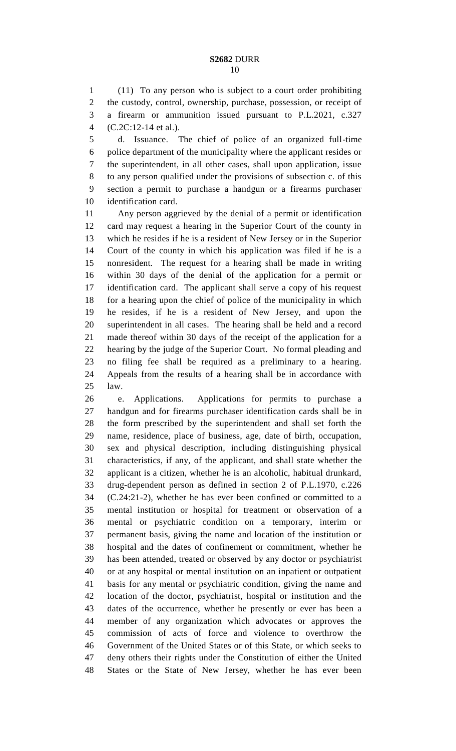(11) To any person who is subject to a court order prohibiting the custody, control, ownership, purchase, possession, or receipt of a firearm or ammunition issued pursuant to P.L.2021, c.327 (C.2C:12-14 et al.).

 d. Issuance. The chief of police of an organized full-time police department of the municipality where the applicant resides or the superintendent, in all other cases, shall upon application, issue to any person qualified under the provisions of subsection c. of this section a permit to purchase a handgun or a firearms purchaser identification card.

 Any person aggrieved by the denial of a permit or identification card may request a hearing in the Superior Court of the county in which he resides if he is a resident of New Jersey or in the Superior Court of the county in which his application was filed if he is a nonresident. The request for a hearing shall be made in writing within 30 days of the denial of the application for a permit or identification card. The applicant shall serve a copy of his request for a hearing upon the chief of police of the municipality in which he resides, if he is a resident of New Jersey, and upon the superintendent in all cases. The hearing shall be held and a record made thereof within 30 days of the receipt of the application for a hearing by the judge of the Superior Court. No formal pleading and no filing fee shall be required as a preliminary to a hearing. Appeals from the results of a hearing shall be in accordance with law.

 e. Applications. Applications for permits to purchase a handgun and for firearms purchaser identification cards shall be in the form prescribed by the superintendent and shall set forth the name, residence, place of business, age, date of birth, occupation, sex and physical description, including distinguishing physical characteristics, if any, of the applicant, and shall state whether the applicant is a citizen, whether he is an alcoholic, habitual drunkard, drug-dependent person as defined in section 2 of P.L.1970, c.226 (C.24:21-2), whether he has ever been confined or committed to a mental institution or hospital for treatment or observation of a mental or psychiatric condition on a temporary, interim or permanent basis, giving the name and location of the institution or hospital and the dates of confinement or commitment, whether he has been attended, treated or observed by any doctor or psychiatrist or at any hospital or mental institution on an inpatient or outpatient basis for any mental or psychiatric condition, giving the name and location of the doctor, psychiatrist, hospital or institution and the dates of the occurrence, whether he presently or ever has been a member of any organization which advocates or approves the commission of acts of force and violence to overthrow the Government of the United States or of this State, or which seeks to deny others their rights under the Constitution of either the United States or the State of New Jersey, whether he has ever been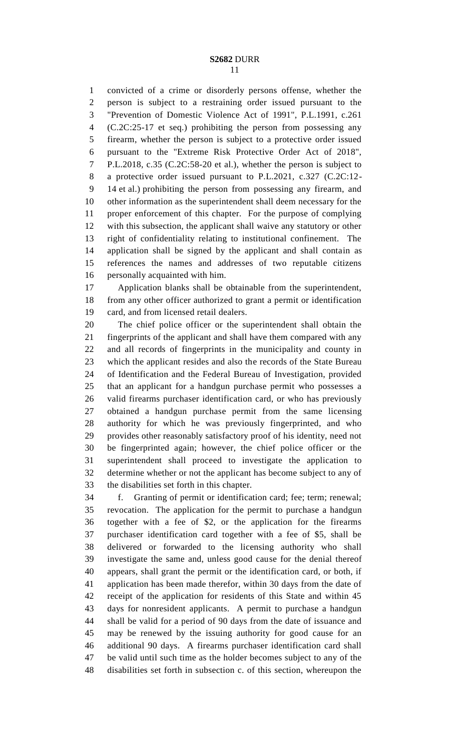convicted of a crime or disorderly persons offense, whether the person is subject to a restraining order issued pursuant to the "Prevention of Domestic Violence Act of 1991", P.L.1991, c.261 (C.2C:25-17 et seq.) prohibiting the person from possessing any firearm, whether the person is subject to a protective order issued pursuant to the "Extreme Risk Protective Order Act of 2018", P.L.2018, c.35 (C.2C:58-20 et al.), whether the person is subject to a protective order issued pursuant to P.L.2021, c.327 (C.2C:12- 14 et al.) prohibiting the person from possessing any firearm, and other information as the superintendent shall deem necessary for the proper enforcement of this chapter. For the purpose of complying with this subsection, the applicant shall waive any statutory or other right of confidentiality relating to institutional confinement. The application shall be signed by the applicant and shall contain as references the names and addresses of two reputable citizens personally acquainted with him.

 Application blanks shall be obtainable from the superintendent, from any other officer authorized to grant a permit or identification card, and from licensed retail dealers.

 The chief police officer or the superintendent shall obtain the fingerprints of the applicant and shall have them compared with any and all records of fingerprints in the municipality and county in which the applicant resides and also the records of the State Bureau of Identification and the Federal Bureau of Investigation, provided that an applicant for a handgun purchase permit who possesses a valid firearms purchaser identification card, or who has previously obtained a handgun purchase permit from the same licensing authority for which he was previously fingerprinted, and who provides other reasonably satisfactory proof of his identity, need not be fingerprinted again; however, the chief police officer or the superintendent shall proceed to investigate the application to determine whether or not the applicant has become subject to any of the disabilities set forth in this chapter.

 f. Granting of permit or identification card; fee; term; renewal; revocation. The application for the permit to purchase a handgun together with a fee of \$2, or the application for the firearms purchaser identification card together with a fee of \$5, shall be delivered or forwarded to the licensing authority who shall investigate the same and, unless good cause for the denial thereof appears, shall grant the permit or the identification card, or both, if application has been made therefor, within 30 days from the date of receipt of the application for residents of this State and within 45 days for nonresident applicants. A permit to purchase a handgun shall be valid for a period of 90 days from the date of issuance and may be renewed by the issuing authority for good cause for an additional 90 days. A firearms purchaser identification card shall be valid until such time as the holder becomes subject to any of the disabilities set forth in subsection c. of this section, whereupon the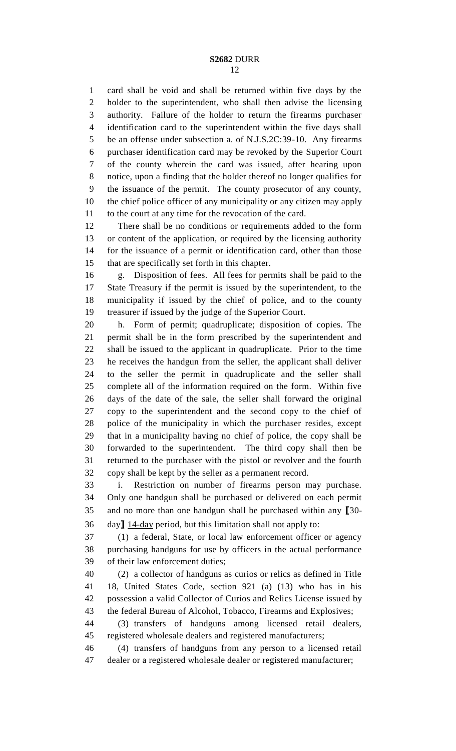card shall be void and shall be returned within five days by the holder to the superintendent, who shall then advise the licensing authority. Failure of the holder to return the firearms purchaser identification card to the superintendent within the five days shall be an offense under subsection a. of N.J.S.2C:39-10. Any firearms purchaser identification card may be revoked by the Superior Court of the county wherein the card was issued, after hearing upon notice, upon a finding that the holder thereof no longer qualifies for the issuance of the permit. The county prosecutor of any county, the chief police officer of any municipality or any citizen may apply to the court at any time for the revocation of the card.

 There shall be no conditions or requirements added to the form or content of the application, or required by the licensing authority for the issuance of a permit or identification card, other than those that are specifically set forth in this chapter.

 g. Disposition of fees. All fees for permits shall be paid to the State Treasury if the permit is issued by the superintendent, to the municipality if issued by the chief of police, and to the county treasurer if issued by the judge of the Superior Court.

 h. Form of permit; quadruplicate; disposition of copies. The permit shall be in the form prescribed by the superintendent and shall be issued to the applicant in quadruplicate. Prior to the time he receives the handgun from the seller, the applicant shall deliver to the seller the permit in quadruplicate and the seller shall complete all of the information required on the form. Within five days of the date of the sale, the seller shall forward the original copy to the superintendent and the second copy to the chief of police of the municipality in which the purchaser resides, except that in a municipality having no chief of police, the copy shall be forwarded to the superintendent. The third copy shall then be returned to the purchaser with the pistol or revolver and the fourth copy shall be kept by the seller as a permanent record.

 i. Restriction on number of firearms person may purchase. Only one handgun shall be purchased or delivered on each permit and no more than one handgun shall be purchased within any **[**30- day**]** 14-day period, but this limitation shall not apply to:

 (1) a federal, State, or local law enforcement officer or agency purchasing handguns for use by officers in the actual performance of their law enforcement duties;

 (2) a collector of handguns as curios or relics as defined in Title 18, United States Code, section 921 (a) (13) who has in his possession a valid Collector of Curios and Relics License issued by the federal Bureau of Alcohol, Tobacco, Firearms and Explosives;

 (3) transfers of handguns among licensed retail dealers, registered wholesale dealers and registered manufacturers;

 (4) transfers of handguns from any person to a licensed retail dealer or a registered wholesale dealer or registered manufacturer;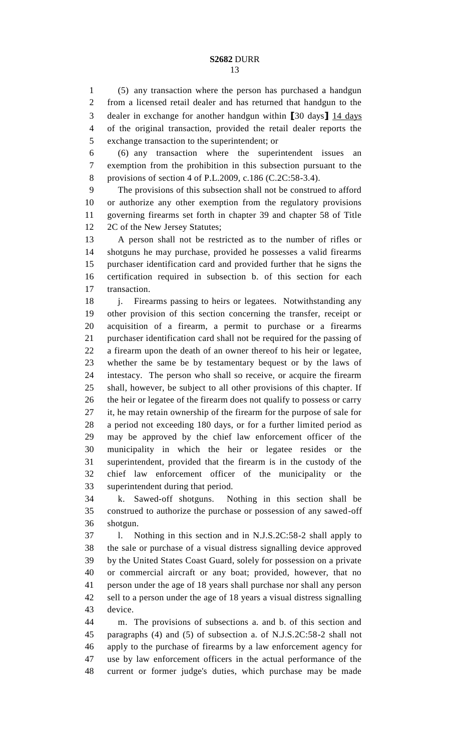(5) any transaction where the person has purchased a handgun from a licensed retail dealer and has returned that handgun to the dealer in exchange for another handgun within **[**30 days**]** 14 days of the original transaction, provided the retail dealer reports the exchange transaction to the superintendent; or

 (6) any transaction where the superintendent issues an exemption from the prohibition in this subsection pursuant to the provisions of section 4 of P.L.2009, c.186 (C.2C:58-3.4).

 The provisions of this subsection shall not be construed to afford or authorize any other exemption from the regulatory provisions governing firearms set forth in chapter 39 and chapter 58 of Title 12 2C of the New Jersey Statutes;

 A person shall not be restricted as to the number of rifles or shotguns he may purchase, provided he possesses a valid firearms purchaser identification card and provided further that he signs the certification required in subsection b. of this section for each transaction.

18 j. Firearms passing to heirs or legatees. Notwithstanding any other provision of this section concerning the transfer, receipt or acquisition of a firearm, a permit to purchase or a firearms purchaser identification card shall not be required for the passing of a firearm upon the death of an owner thereof to his heir or legatee, whether the same be by testamentary bequest or by the laws of intestacy. The person who shall so receive, or acquire the firearm shall, however, be subject to all other provisions of this chapter. If the heir or legatee of the firearm does not qualify to possess or carry it, he may retain ownership of the firearm for the purpose of sale for a period not exceeding 180 days, or for a further limited period as may be approved by the chief law enforcement officer of the municipality in which the heir or legatee resides or the superintendent, provided that the firearm is in the custody of the chief law enforcement officer of the municipality or the superintendent during that period.

 k. Sawed-off shotguns. Nothing in this section shall be construed to authorize the purchase or possession of any sawed-off shotgun.

 l. Nothing in this section and in N.J.S.2C:58-2 shall apply to the sale or purchase of a visual distress signalling device approved by the United States Coast Guard, solely for possession on a private or commercial aircraft or any boat; provided, however, that no person under the age of 18 years shall purchase nor shall any person sell to a person under the age of 18 years a visual distress signalling device.

 m. The provisions of subsections a. and b. of this section and paragraphs (4) and (5) of subsection a. of N.J.S.2C:58-2 shall not apply to the purchase of firearms by a law enforcement agency for use by law enforcement officers in the actual performance of the current or former judge's duties, which purchase may be made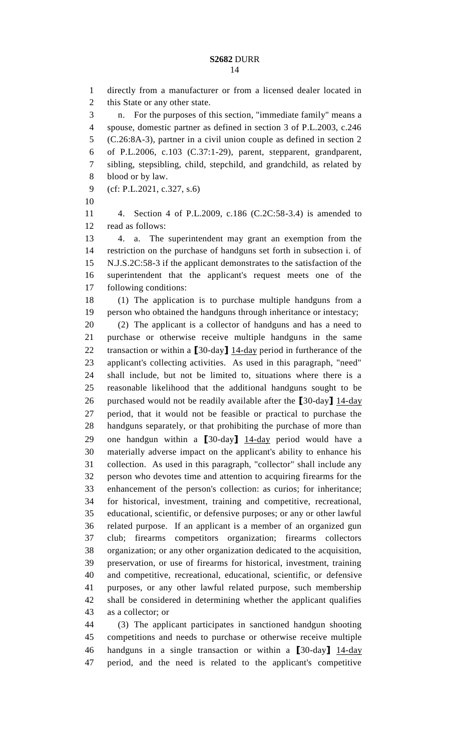directly from a manufacturer or from a licensed dealer located in this State or any other state. n. For the purposes of this section, "immediate family" means a spouse, domestic partner as defined in section 3 of P.L.2003, c.246 (C.26:8A-3), partner in a civil union couple as defined in section 2 of P.L.2006, c.103 (C.37:1-29), parent, stepparent, grandparent, sibling, stepsibling, child, stepchild, and grandchild, as related by blood or by law. (cf: P.L.2021, c.327, s.6) 4. Section 4 of P.L.2009, c.186 (C.2C:58-3.4) is amended to read as follows: 4. a. The superintendent may grant an exemption from the restriction on the purchase of handguns set forth in subsection i. of N.J.S.2C:58-3 if the applicant demonstrates to the satisfaction of the superintendent that the applicant's request meets one of the following conditions: (1) The application is to purchase multiple handguns from a person who obtained the handguns through inheritance or intestacy; (2) The applicant is a collector of handguns and has a need to purchase or otherwise receive multiple handguns in the same transaction or within a **[**30-day**]** 14-day period in furtherance of the applicant's collecting activities. As used in this paragraph, "need" shall include, but not be limited to, situations where there is a reasonable likelihood that the additional handguns sought to be purchased would not be readily available after the **[**30-day**]** 14-day period, that it would not be feasible or practical to purchase the handguns separately, or that prohibiting the purchase of more than one handgun within a **[**30-day**]** 14-day period would have a materially adverse impact on the applicant's ability to enhance his collection. As used in this paragraph, "collector" shall include any person who devotes time and attention to acquiring firearms for the enhancement of the person's collection: as curios; for inheritance; for historical, investment, training and competitive, recreational, educational, scientific, or defensive purposes; or any or other lawful related purpose. If an applicant is a member of an organized gun club; firearms competitors organization; firearms collectors organization; or any other organization dedicated to the acquisition, preservation, or use of firearms for historical, investment, training and competitive, recreational, educational, scientific, or defensive purposes, or any other lawful related purpose, such membership shall be considered in determining whether the applicant qualifies as a collector; or

 (3) The applicant participates in sanctioned handgun shooting competitions and needs to purchase or otherwise receive multiple handguns in a single transaction or within a **[**30-day**]** 14-day period, and the need is related to the applicant's competitive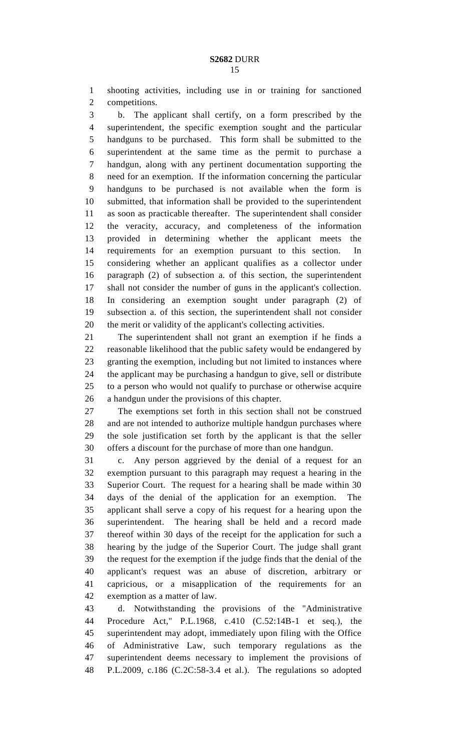shooting activities, including use in or training for sanctioned competitions.

 b. The applicant shall certify, on a form prescribed by the superintendent, the specific exemption sought and the particular handguns to be purchased. This form shall be submitted to the superintendent at the same time as the permit to purchase a handgun, along with any pertinent documentation supporting the need for an exemption. If the information concerning the particular handguns to be purchased is not available when the form is submitted, that information shall be provided to the superintendent as soon as practicable thereafter. The superintendent shall consider the veracity, accuracy, and completeness of the information provided in determining whether the applicant meets the requirements for an exemption pursuant to this section. In considering whether an applicant qualifies as a collector under paragraph (2) of subsection a. of this section, the superintendent shall not consider the number of guns in the applicant's collection. In considering an exemption sought under paragraph (2) of subsection a. of this section, the superintendent shall not consider the merit or validity of the applicant's collecting activities.

 The superintendent shall not grant an exemption if he finds a reasonable likelihood that the public safety would be endangered by granting the exemption, including but not limited to instances where the applicant may be purchasing a handgun to give, sell or distribute to a person who would not qualify to purchase or otherwise acquire a handgun under the provisions of this chapter.

 The exemptions set forth in this section shall not be construed and are not intended to authorize multiple handgun purchases where the sole justification set forth by the applicant is that the seller offers a discount for the purchase of more than one handgun.

 c. Any person aggrieved by the denial of a request for an exemption pursuant to this paragraph may request a hearing in the Superior Court. The request for a hearing shall be made within 30 days of the denial of the application for an exemption. The applicant shall serve a copy of his request for a hearing upon the superintendent. The hearing shall be held and a record made thereof within 30 days of the receipt for the application for such a hearing by the judge of the Superior Court. The judge shall grant the request for the exemption if the judge finds that the denial of the applicant's request was an abuse of discretion, arbitrary or capricious, or a misapplication of the requirements for an exemption as a matter of law.

 d. Notwithstanding the provisions of the "Administrative Procedure Act," P.L.1968, c.410 (C.52:14B-1 et seq.), the superintendent may adopt, immediately upon filing with the Office of Administrative Law, such temporary regulations as the superintendent deems necessary to implement the provisions of P.L.2009, c.186 (C.2C:58-3.4 et al.). The regulations so adopted